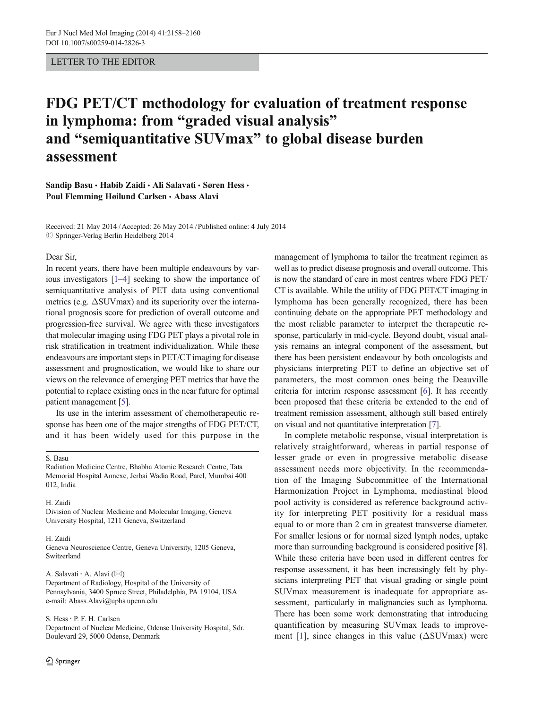# LETTER TO THE EDITOR

# FDG PET/CT methodology for evaluation of treatment response in lymphoma: from "graded visual analysis" and "semiquantitative SUVmax" to global disease burden assessment

Sandip Basu · Habib Zaidi · Ali Salavati · Søren Hess · Poul Flemming Høilund Carlsen & Abass Alavi

Received: 21 May 2014 /Accepted: 26 May 2014 /Published online: 4 July 2014  $\oslash$  Springer-Verlag Berlin Heidelberg 2014

#### Dear Sir,

In recent years, there have been multiple endeavours by various investigators [\[1](#page-2-0)–[4\]](#page-2-0) seeking to show the importance of semiquantitative analysis of PET data using conventional metrics (e.g.  $\Delta$ SUVmax) and its superiority over the international prognosis score for prediction of overall outcome and progression-free survival. We agree with these investigators that molecular imaging using FDG PET plays a pivotal role in risk stratification in treatment individualization. While these endeavours are important steps in PET/CT imaging for disease assessment and prognostication, we would like to share our views on the relevance of emerging PET metrics that have the potential to replace existing ones in the near future for optimal patient management [\[5](#page-2-0)].

Its use in the interim assessment of chemotherapeutic response has been one of the major strengths of FDG PET/CT, and it has been widely used for this purpose in the

# S. Basu

#### H. Zaidi

Division of Nuclear Medicine and Molecular Imaging, Geneva University Hospital, 1211 Geneva, Switzerland

#### H. Zaidi

Geneva Neuroscience Centre, Geneva University, 1205 Geneva, Switzerland

### A. Salavati  $\cdot$  A. Alavi ( $\boxtimes$ )

Department of Radiology, Hospital of the University of Pennsylvania, 3400 Spruce Street, Philadelphia, PA 19104, USA e-mail: Abass.Alavi@uphs.upenn.edu

#### S. Hess: P. F. H. Carlsen

Department of Nuclear Medicine, Odense University Hospital, Sdr. Boulevard 29, 5000 Odense, Denmark

management of lymphoma to tailor the treatment regimen as well as to predict disease prognosis and overall outcome. This is now the standard of care in most centres where FDG PET/ CT is available. While the utility of FDG PET/CT imaging in lymphoma has been generally recognized, there has been continuing debate on the appropriate PET methodology and the most reliable parameter to interpret the therapeutic response, particularly in mid-cycle. Beyond doubt, visual analysis remains an integral component of the assessment, but there has been persistent endeavour by both oncologists and physicians interpreting PET to define an objective set of parameters, the most common ones being the Deauville criteria for interim response assessment [\[6\]](#page-2-0). It has recently been proposed that these criteria be extended to the end of treatment remission assessment, although still based entirely on visual and not quantitative interpretation [[7\]](#page-2-0).

In complete metabolic response, visual interpretation is relatively straightforward, whereas in partial response of lesser grade or even in progressive metabolic disease assessment needs more objectivity. In the recommendation of the Imaging Subcommittee of the International Harmonization Project in Lymphoma, mediastinal blood pool activity is considered as reference background activity for interpreting PET positivity for a residual mass equal to or more than 2 cm in greatest transverse diameter. For smaller lesions or for normal sized lymph nodes, uptake more than surrounding background is considered positive [[8\]](#page-2-0). While these criteria have been used in different centres for response assessment, it has been increasingly felt by physicians interpreting PET that visual grading or single point SUVmax measurement is inadequate for appropriate assessment, particularly in malignancies such as lymphoma. There has been some work demonstrating that introducing quantification by measuring SUVmax leads to improve-ment [[1\]](#page-2-0), since changes in this value ( $\Delta$ SUVmax) were

Radiation Medicine Centre, Bhabha Atomic Research Centre, Tata Memorial Hospital Annexe, Jerbai Wadia Road, Parel, Mumbai 400 012, India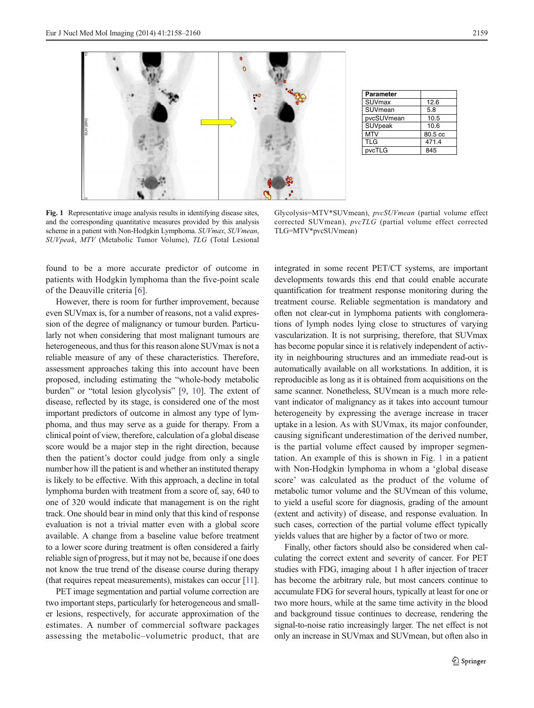

Fig. 1 Representative image analysis results in identifying disease sites, and the corresponding quantitative measures provided by this analysis scheme in a patient with Non-Hodgkin Lymphoma. SUVmax, SUVmean, SUVpeak, MTV (Metabolic Tumor Volume), TLG (Total Lesional

TLG=MTV\*pvcSUVmean)

found to be a more accurate predictor of outcome in patients with Hodgkin lymphoma than the five-point scale of the Deauville criteria [[6\]](#page-2-0).

However, there is room for further improvement, because even SUVmax is, for a number of reasons, not a valid expression of the degree of malignancy or tumour burden. Particularly not when considering that most malignant tumours are heterogeneous, and thus for this reason alone SUVmax is not a reliable measure of any of these characteristics. Therefore, assessment approaches taking this into account have been proposed, including estimating the "whole-body metabolic burden" or "total lesion glycolysis" [[9,](#page-2-0) [10](#page-2-0)]. The extent of disease, reflected by its stage, is considered one of the most important predictors of outcome in almost any type of lymphoma, and thus may serve as a guide for therapy. From a clinical point of view, therefore, calculation of a global disease score would be a major step in the right direction, because then the patient's doctor could judge from only a single number how ill the patient is and whether an instituted therapy is likely to be effective. With this approach, a decline in total lymphoma burden with treatment from a score of, say, 640 to one of 320 would indicate that management is on the right track. One should bear in mind only that this kind of response evaluation is not a trivial matter even with a global score available. A change from a baseline value before treatment to a lower score during treatment is often considered a fairly reliable sign of progress, but it may not be, because if one does not know the true trend of the disease course during therapy (that requires repeat measurements), mistakes can occur [\[11\]](#page-2-0).

PET image segmentation and partial volume correction are two important steps, particularly for heterogeneous and smaller lesions, respectively, for accurate approximation of the estimates. A number of commercial software packages assessing the metabolic–volumetric product, that are integrated in some recent PET/CT systems, are important developments towards this end that could enable accurate quantification for treatment response monitoring during the treatment course. Reliable segmentation is mandatory and often not clear-cut in lymphoma patients with conglomerations of lymph nodes lying close to structures of varying vascularization. It is not surprising, therefore, that SUVmax has become popular since it is relatively independent of activity in neighbouring structures and an immediate read-out is automatically available on all workstations. In addition, it is reproducible as long as it is obtained from acquisitions on the same scanner. Nonetheless, SUVmean is a much more relevant indicator of malignancy as it takes into account tumour heterogeneity by expressing the average increase in tracer uptake in a lesion. As with SUVmax, its major confounder, causing significant underestimation of the derived number, is the partial volume effect caused by improper segmentation. An example of this is shown in Fig. 1 in a patient with Non-Hodgkin lymphoma in whom a 'global disease score' was calculated as the product of the volume of metabolic tumor volume and the SUVmean of this volume, to yield a useful score for diagnosis, grading of the amount (extent and activity) of disease, and response evaluation. In such cases, correction of the partial volume effect typically yields values that are higher by a factor of two or more.

**Parameter**

Glycolysis=MTV\*SUVmean), pvcSUVmean (partial volume effect corrected SUVmean), pvcTLG (partial volume effect corrected

SUVmax 12.6 SUVmean 5.8 pvcSUVmean 10.5 SUVpeak 10.6  $MTV$  80.5 cc TLG 471.4 pvcTLG 845

Finally, other factors should also be considered when calculating the correct extent and severity of cancer. For PET studies with FDG, imaging about 1 h after injection of tracer has become the arbitrary rule, but most cancers continue to accumulate FDG for several hours, typically at least for one or two more hours, while at the same time activity in the blood and background tissue continues to decrease, rendering the signal-to-noise ratio increasingly larger. The net effect is not only an increase in SUVmax and SUVmean, but often also in